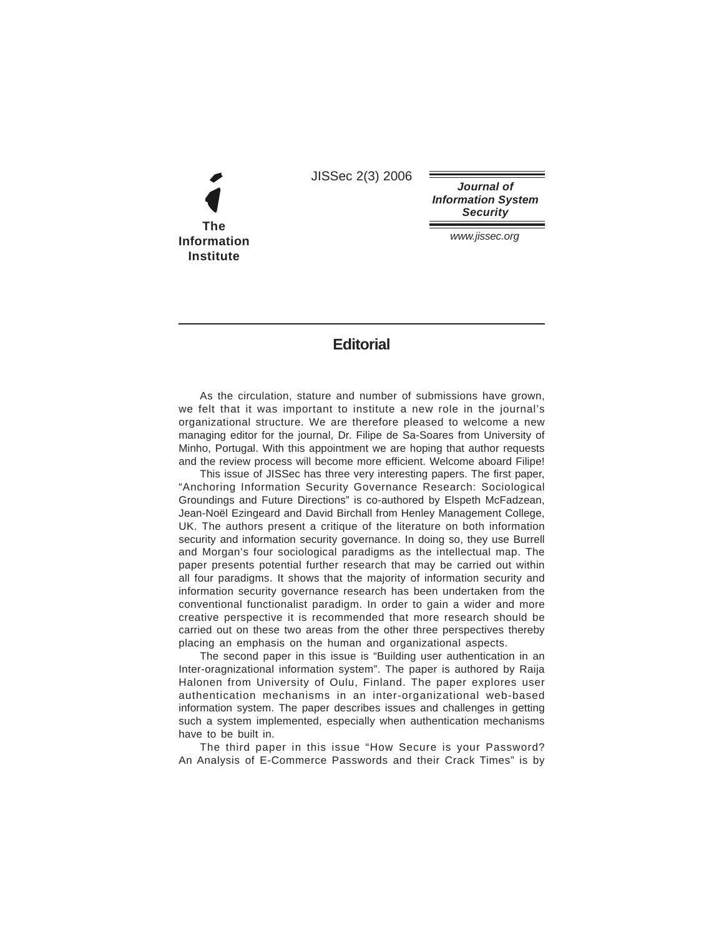JISSec 2(3) 2006

**The Information Institute**

**Journal of Information System Security**

www.jissec.org

## **Editorial**

As the circulation, stature and number of submissions have grown, we felt that it was important to institute a new role in the journal's organizational structure. We are therefore pleased to welcome a new managing editor for the journal, Dr. Filipe de Sa-Soares from University of Minho, Portugal. With this appointment we are hoping that author requests and the review process will become more efficient. Welcome aboard Filipe!

This issue of JISSec has three very interesting papers. The first paper, "Anchoring Information Security Governance Research: Sociological Groundings and Future Directions" is co-authored by Elspeth McFadzean, Jean-Noël Ezingeard and David Birchall from Henley Management College, UK. The authors present a critique of the literature on both information security and information security governance. In doing so, they use Burrell and Morgan's four sociological paradigms as the intellectual map. The paper presents potential further research that may be carried out within all four paradigms. It shows that the majority of information security and information security governance research has been undertaken from the conventional functionalist paradigm. In order to gain a wider and more creative perspective it is recommended that more research should be carried out on these two areas from the other three perspectives thereby placing an emphasis on the human and organizational aspects.

The second paper in this issue is "Building user authentication in an Inter-oragnizational information system". The paper is authored by Raija Halonen from University of Oulu, Finland. The paper explores user authentication mechanisms in an inter-organizational web-based information system. The paper describes issues and challenges in getting such a system implemented, especially when authentication mechanisms have to be built in.

The third paper in this issue "How Secure is your Password? An Analysis of E-Commerce Passwords and their Crack Times" is by